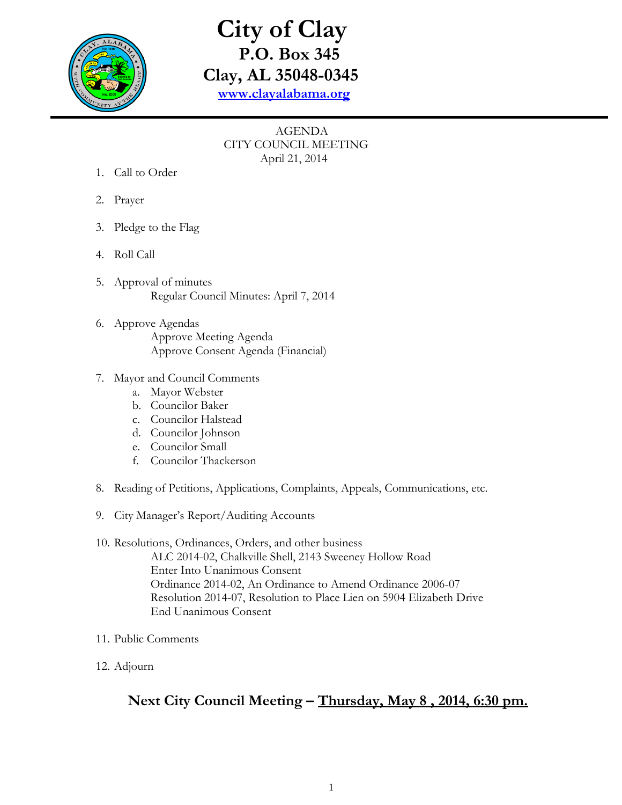

## **City of Clay P.O. Box 345 Clay, AL 35048-0345 [www.clayalabama.org](http://www.clayalabama.org/)**

## AGENDA CITY COUNCIL MEETING April 21, 2014

- 1. Call to Order
- 2. Prayer
- 3. Pledge to the Flag
- 4. Roll Call
- 5. Approval of minutes Regular Council Minutes: April 7, 2014
- 6. Approve Agendas Approve Meeting Agenda Approve Consent Agenda (Financial)
- 7. Mayor and Council Comments
	- a. Mayor Webster
	- b. Councilor Baker
	- c. Councilor Halstead
	- d. Councilor Johnson
	- e. Councilor Small
	- f. Councilor Thackerson
- 8. Reading of Petitions, Applications, Complaints, Appeals, Communications, etc.
- 9. City Manager's Report/Auditing Accounts
- 10. Resolutions, Ordinances, Orders, and other business ALC 2014-02, Chalkville Shell, 2143 Sweeney Hollow Road Enter Into Unanimous Consent Ordinance 2014-02, An Ordinance to Amend Ordinance 2006-07 Resolution 2014-07, Resolution to Place Lien on 5904 Elizabeth Drive End Unanimous Consent
- 11. Public Comments
- 12. Adjourn

## **Next City Council Meeting – Thursday, May 8 , 2014, 6:30 pm.**